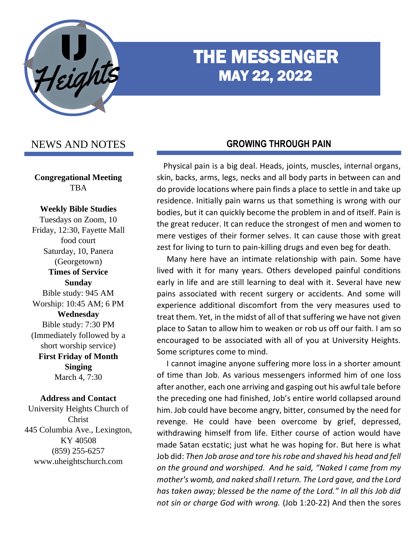

# THE MESSENGER MAY 22, 2022

# NEWS AND NOTES

**Congregational Meeting** TBA

#### **Weekly Bible Studies**

Tuesdays on Zoom, 10 Friday, 12:30, Fayette Mall food court Saturday, 10, Panera (Georgetown) **Times of Service Sunday** Bible study: 945 AM Worship: 10:45 AM; 6 PM **Wednesday** Bible study: 7:30 PM (Immediately followed by a short worship service) **First Friday of Month Singing** March 4, 7:30

#### **Address and Contact**

University Heights Church of Christ 445 Columbia Ave., Lexington, KY 40508 (859) 255-6257 www.uheightschurch.com

### **GROWING THROUGH PAIN**

 Physical pain is a big deal. Heads, joints, muscles, internal organs, skin, backs, arms, legs, necks and all body parts in between can and do provide locations where pain finds a place to settle in and take up residence. Initially pain warns us that something is wrong with our bodies, but it can quickly become the problem in and of itself. Pain is the great reducer. It can reduce the strongest of men and women to mere vestiges of their former selves. It can cause those with great zest for living to turn to pain-killing drugs and even beg for death.

 Many here have an intimate relationship with pain. Some have lived with it for many years. Others developed painful conditions early in life and are still learning to deal with it. Several have new pains associated with recent surgery or accidents. And some will experience additional discomfort from the very measures used to treat them. Yet, in the midst of all of that suffering we have not given place to Satan to allow him to weaken or rob us off our faith. I am so encouraged to be associated with all of you at University Heights. Some scriptures come to mind.

 I cannot imagine anyone suffering more loss in a shorter amount of time than Job. As various messengers informed him of one loss after another, each one arriving and gasping out his awful tale before the preceding one had finished, Job's entire world collapsed around him. Job could have become angry, bitter, consumed by the need for revenge. He could have been overcome by grief, depressed, withdrawing himself from life. Either course of action would have made Satan ecstatic; just what he was hoping for. But here is what Job did: *Then Job arose and tore his robe and shaved his head and fell on the ground and worshiped. And he said, "Naked I came from my mother's womb, and naked shall I return. The Lord gave, and the Lord has taken away; blessed be the name of the Lord." In all this Job did not sin or charge God with wrong.* (Job 1:20-22) And then the sores